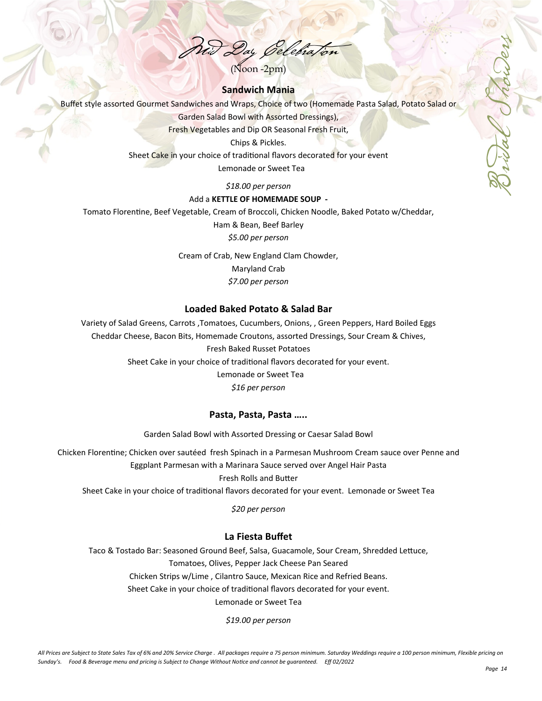$(Noon -2pm)$ 

# **Sandwich Mania**

Buffet style assorted Gourmet Sandwiches and Wraps, Choice of two (Homemade Pasta Salad, Potato Salad or

Garden Salad Bowl with Assorted Dressings),

Fresh Vegetables and Dip OR Seasonal Fresh Fruit,

Chips & Pickles.

Sheet Cake in your choice of traditional flavors decorated for your event

Lemonade or Sweet Tea

## *\$18.00 per person*

### Add a **KETTLE OF HOMEMADE SOUP -**

Tomato Florentine, Beef Vegetable, Cream of Broccoli, Chicken Noodle, Baked Potato w/Cheddar,

Ham & Bean, Beef Barley

*\$5.00 per person*

Cream of Crab, New England Clam Chowder, Maryland Crab *\$7.00 per person*

## **Loaded Baked Potato & Salad Bar**

Variety of Salad Greens, Carrots ,Tomatoes, Cucumbers, Onions, , Green Peppers, Hard Boiled Eggs

Cheddar Cheese, Bacon Bits, Homemade Croutons, assorted Dressings, Sour Cream & Chives,

Fresh Baked Russet Potatoes

Sheet Cake in your choice of traditional flavors decorated for your event.

Lemonade or Sweet Tea

## *\$16 per person*

## **Pasta, Pasta, Pasta …..**

Garden Salad Bowl with Assorted Dressing or Caesar Salad Bowl

Chicken Florentine; Chicken over sautéed fresh Spinach in a Parmesan Mushroom Cream sauce over Penne and Eggplant Parmesan with a Marinara Sauce served over Angel Hair Pasta

Fresh Rolls and BuƩer

Sheet Cake in your choice of traditional flavors decorated for your event. Lemonade or Sweet Tea

*\$20 per person* 

# **La Fiesta Buffet**

Taco & Tostado Bar: Seasoned Ground Beef, Salsa, Guacamole, Sour Cream, Shredded Lettuce, Tomatoes, Olives, Pepper Jack Cheese Pan Seared Chicken Strips w/Lime , Cilantro Sauce, Mexican Rice and Refried Beans. Sheet Cake in your choice of traditional flavors decorated for your event.

Lemonade or Sweet Tea

*\$19.00 per person* 

Bridal Showers